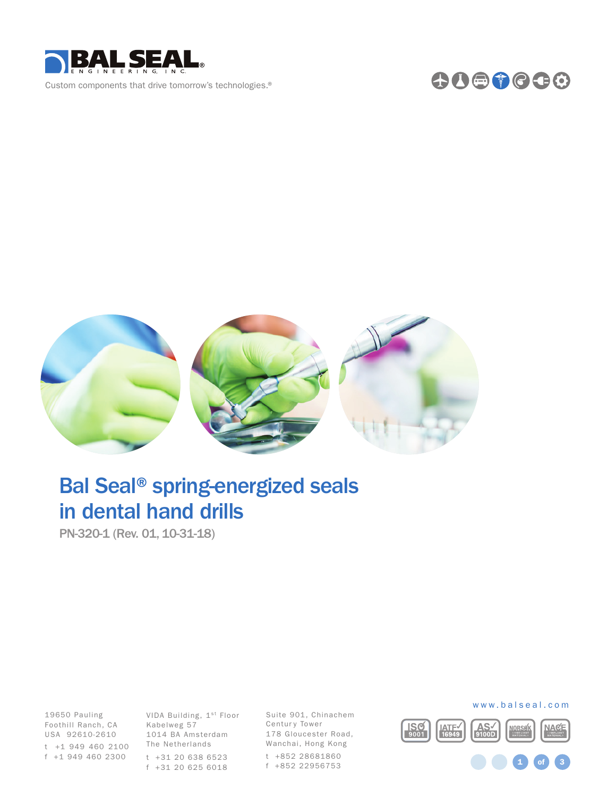





# Bal Seal® spring-energized seals in dental hand drills

PN-320-1 (Rev. 01, 10-31-18)

Foothill Ranch, CA Kabelweg 57 t +1 949 460 2100 The Netherlands 19650 Pauling USA 92610-2610 f +1 949 460 2300

VIDA Building, 1st Floor 1014 BA Amsterdam t +31 20 638 6523 f +31 20 625 6018

Suite 901, Chinachem Centur y Tower 178 Gloucester Road, Wanchai, Hong Kong t +852 28681860 f +852 22956753



### www.balseal.com

1 **of** 3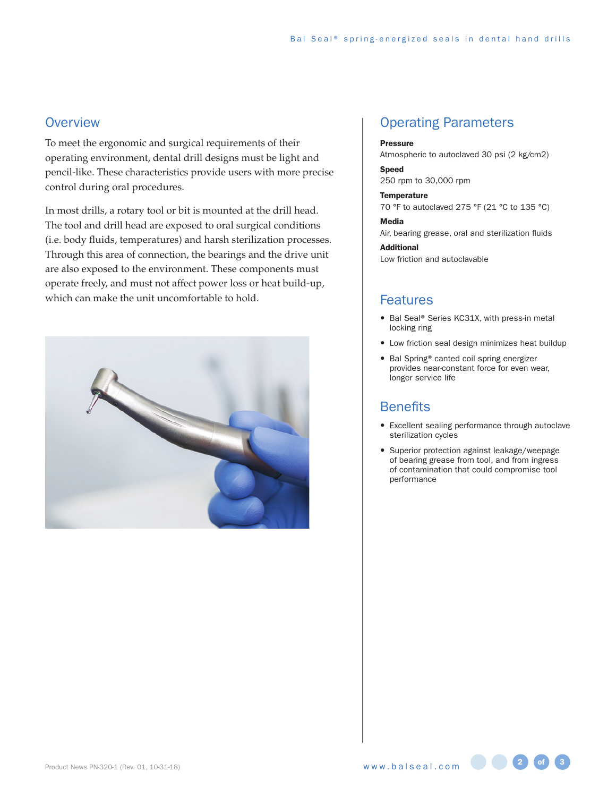## **Overview**

To meet the ergonomic and surgical requirements of their operating environment, dental drill designs must be light and pencil-like. These characteristics provide users with more precise control during oral procedures.

In most drills, a rotary tool or bit is mounted at the drill head. The tool and drill head are exposed to oral surgical conditions (i.e. body fluids, temperatures) and harsh sterilization processes. Through this area of connection, the bearings and the drive unit are also exposed to the environment. These components must operate freely, and must not affect power loss or heat build-up, which can make the unit uncomfortable to hold.



## Operating Parameters

#### Pressure

Atmospheric to autoclaved 30 psi (2 kg/cm2)

#### Speed 250 rpm to 30,000 rpm

**Temperature** 70 °F to autoclaved 275 °F (21 °C to 135 °C)

#### Media

Air, bearing grease, oral and sterilization fluids

Additional Low friction and autoclavable

## Features

- Bal Seal® Series KC31X, with press-in metal locking ring
- Low friction seal design minimizes heat buildup
- Bal Spring® canted coil spring energizer provides near-constant force for even wear, longer service life

## **Benefits**

- Excellent sealing performance through autoclave sterilization cycles
- Superior protection against leakage/weepage of bearing grease from tool, and from ingress of contamination that could compromise tool performance